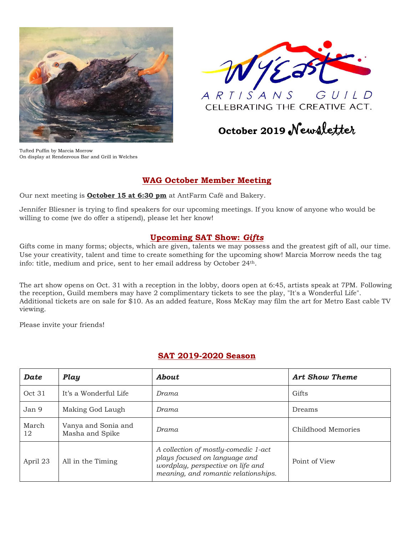



CELEBRATING THE CREATIVE ACT.

# **October <sup>2019</sup>** Newsletter

Tufted Puffin by Marcia Morrow On display at Rendezvous Bar and Grill in Welches

### **WAG October Member Meeting**

Our next meeting is **October 15 at 6:30 pm** at AntFarm Café and Bakery.

Jennifer Bliesner is trying to find speakers for our upcoming meetings. If you know of anyone who would be willing to come (we do offer a stipend), please let her know!

#### **Upcoming SAT Show:** *Gifts*

Gifts come in many forms; objects, which are given, talents we may possess and the greatest gift of all, our time. Use your creativity, talent and time to create something for the upcoming show! Marcia Morrow needs the tag info: title, medium and price, sent to her email address by October 24th.

The art show opens on Oct. 31 with a reception in the lobby, doors open at 6:45, artists speak at 7PM. Following the reception, Guild members may have 2 complimentary tickets to see the play, "It's a Wonderful Life". Additional tickets are on sale for \$10. As an added feature, Ross McKay may film the art for Metro East cable TV viewing.

Please invite your friends!

| <b>Date</b> | Play                                   | About                                                                                                                                              | <b>Art Show Theme</b> |  |
|-------------|----------------------------------------|----------------------------------------------------------------------------------------------------------------------------------------------------|-----------------------|--|
| Oct 31      | It's a Wonderful Life                  | Drama                                                                                                                                              | Gifts                 |  |
| Jan 9       | Making God Laugh                       | Drama                                                                                                                                              | Dreams                |  |
| March<br>12 | Vanya and Sonia and<br>Masha and Spike | Drama                                                                                                                                              | Childhood Memories    |  |
| April 23    | All in the Timing                      | A collection of mostly-comedic 1-act<br>plays focused on language and<br>wordplay, perspective on life and<br>meaning, and romantic relationships. | Point of View         |  |

#### **SAT 2019-2020 Season**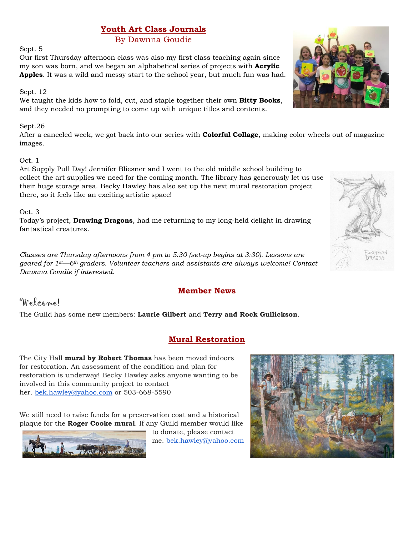# **Youth Art Class Journals**

### By Dawnna Goudie

Sept. 5

Our first Thursday afternoon class was also my first class teaching again since my son was born, and we began an alphabetical series of projects with **Acrylic Apples**. It was a wild and messy start to the school year, but much fun was had.

#### Sept. 12

We taught the kids how to fold, cut, and staple together their own **Bitty Books**, and they needed no prompting to come up with unique titles and contents.

#### Sept.26

After a canceled week, we got back into our series with **Colorful Collage**, making color wheels out of magazine images.

#### Oct. 1

Art Supply Pull Day! Jennifer Bliesner and I went to the old middle school building to collect the art supplies we need for the coming month. The library has generously let us use their huge storage area. Becky Hawley has also set up the next mural restoration project there, so it feels like an exciting artistic space!

#### Oct. 3

Today's project, **Drawing Dragons**, had me returning to my long-held delight in drawing fantastical creatures.

*Classes are Thursday afternoons from 4 pm to 5:30 (set-up begins at 3:30). Lessons are geared for 1st—6th graders. Volunteer teachers and assistants are always welcome! Contact Dawnna Goudie if interested.*

#### **Member News**

# Welcome!

The Guild has some new members: **Laurie Gilbert** and **Terry and Rock Gullickson**.

## **Mural Restoration**

The City Hall **mural by Robert Thomas** has been moved indoors for restoration. An assessment of the condition and plan for restoration is underway! Becky Hawley asks anyone wanting to be involved in this community project to contact her. [bek.hawley@yahoo.com](mailto:bek.hawley@yahoo.com) or 503-668-5590

We still need to raise funds for a preservation coat and a historical plaque for the **Roger Cooke mural**. If any Guild member would like



to donate, please contact me. [bek.hawley@yahoo.com](mailto:bek.hawley@yahoo.com)





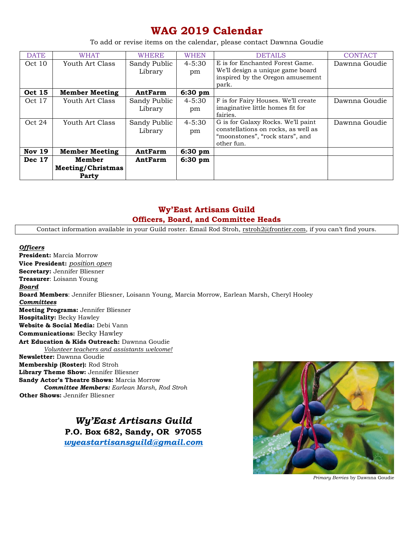# **WAG 2019 Calendar**

To add or revise items on the calendar, please contact Dawnna Goudie

| <b>DATE</b>      | <b>WHAT</b>                          | <b>WHERE</b>                                       | <b>WHEN</b>                      | <b>DETAILS</b>                                                                                                                                                                                                    | <b>CONTACT</b>                 |
|------------------|--------------------------------------|----------------------------------------------------|----------------------------------|-------------------------------------------------------------------------------------------------------------------------------------------------------------------------------------------------------------------|--------------------------------|
| Oct 10           | Youth Art Class                      | Sandy Public<br>Library                            | $4 - 5:30$<br>pm                 | E is for Enchanted Forest Game.<br>We'll design a unique game board<br>inspired by the Oregon amusement                                                                                                           | Dawnna Goudie                  |
| <b>Oct 15</b>    | <b>Member Meeting</b>                | AntFarm                                            | 6:30 pm                          | park.                                                                                                                                                                                                             |                                |
| Oct 17<br>Oct 24 | Youth Art Class<br>Youth Art Class   | Sandy Public<br>Library<br>Sandy Public<br>Library | $4 - 5:30$<br>pm<br>4-5:30<br>pm | F is for Fairy Houses. We'll create<br>imaginative little homes fit for<br>fairies.<br>G is for Galaxy Rocks. We'll paint<br>constellations on rocks, as well as<br>"moonstones", "rock stars", and<br>other fun. | Dawnna Goudie<br>Dawnna Goudie |
| <b>Nov 19</b>    | <b>Member Meeting</b>                | AntFarm                                            | $6:30$ pm                        |                                                                                                                                                                                                                   |                                |
| <b>Dec 17</b>    | Member<br>Meeting/Christmas<br>Party | AntFarm                                            | 6:30 pm                          |                                                                                                                                                                                                                   |                                |

## **Wy'East Artisans Guild Officers, Board, and Committee Heads**

Contact information available in your Guild roster. Email Rod Stroh, [rstroh2@frontier.com](mailto:rstroh2@frontier.com), if you can't find yours.

*Officers* **President:** Marcia Morrow **Vice President:** *position open* **Secretary:** Jennifer Bliesner **Treasurer**: Loisann Young *Board* **Board Members**: Jennifer Bliesner, Loisann Young, Marcia Morrow, Earlean Marsh, Cheryl Hooley *Committees* **Meeting Programs:** Jennifer Bliesner **Hospitality:** Becky Hawley **Website & Social Media:** Debi Vann **Communications:** Becky Hawley **Art Education & Kids Outreach:** Dawnna Goudie *Volunteer teachers and assistants welcome!* **Newsletter:** Dawnna Goudie **Membership (Roster):** Rod Stroh **Library Theme Show:** Jennifer Bliesner **Sandy Actor's Theatre Shows:** Marcia Morrow *Committee Members: Earlean Marsh, Rod Stroh* **Other Shows:** Jennifer Bliesner

> *Wy'East Artisans Guild* **P.O. Box 682, Sandy, OR 97055** *[wyeastartisansguild@gmail.com](mailto:wyeastartisansguild@gmail.com)*



*Primary Berries* by Dawnna Goudie